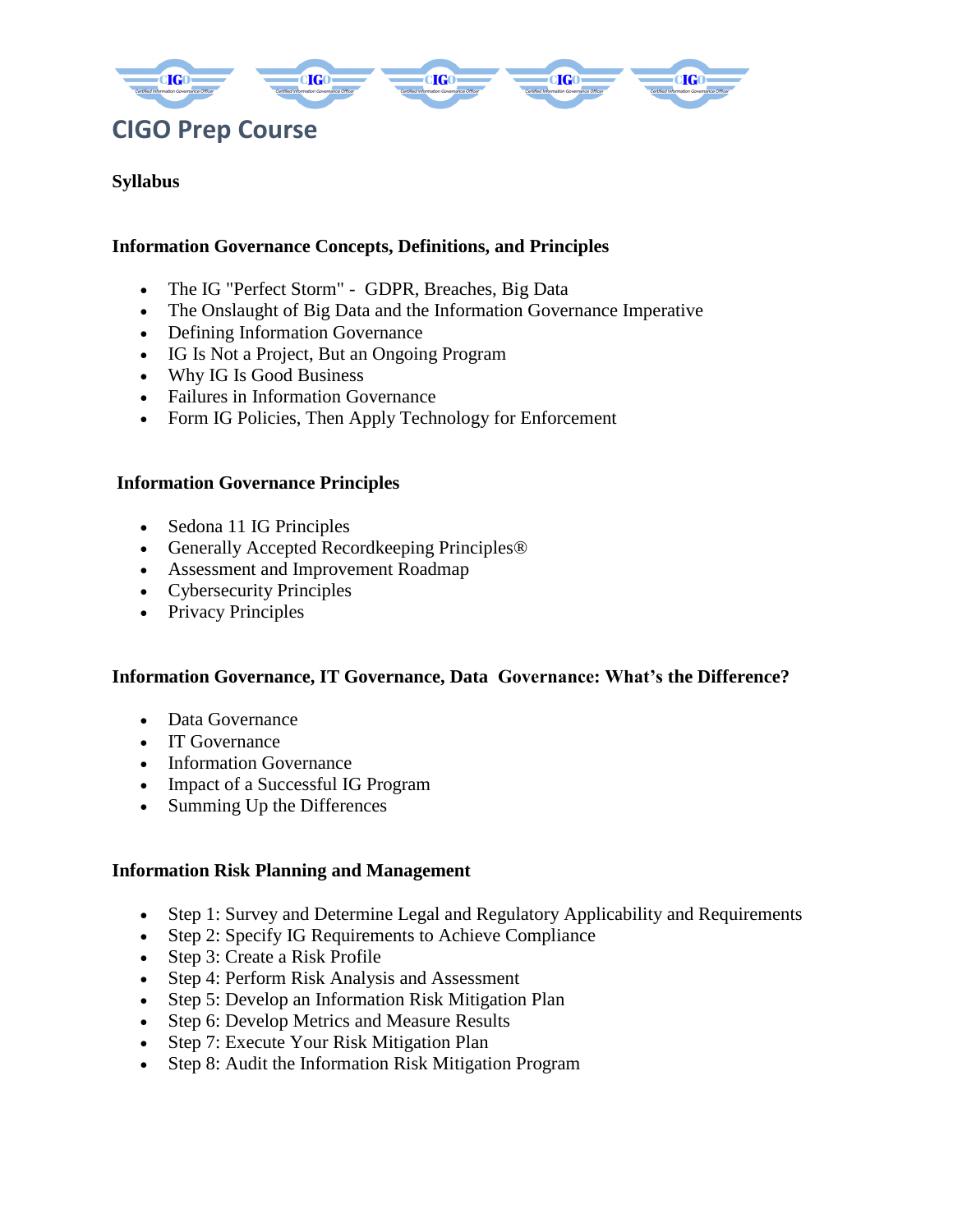

## **Syllabus**

### **Information Governance Concepts, Definitions, and Principles**

- The IG "Perfect Storm" GDPR, Breaches, Big Data
- The Onslaught of Big Data and the Information Governance Imperative
- Defining Information Governance
- IG Is Not a Project, But an Ongoing Program
- Why IG Is Good Business
- Failures in Information Governance
- Form IG Policies, Then Apply Technology for Enforcement

### **Information Governance Principles**

- Sedona 11 IG Principles
- Generally Accepted Recordkeeping Principles®
- Assessment and Improvement Roadmap
- Cybersecurity Principles
- Privacy Principles

#### **Information Governance, IT Governance, Data Governance: What's the Difference?**

- Data Governance
- IT Governance
- Information Governance
- Impact of a Successful IG Program
- Summing Up the Differences

#### **Information Risk Planning and Management**

- Step 1: Survey and Determine Legal and Regulatory Applicability and Requirements
- Step 2: Specify IG Requirements to Achieve Compliance
- Step 3: Create a Risk Profile
- Step 4: Perform Risk Analysis and Assessment
- Step 5: Develop an Information Risk Mitigation Plan
- Step 6: Develop Metrics and Measure Results
- Step 7: Execute Your Risk Mitigation Plan
- Step 8: Audit the Information Risk Mitigation Program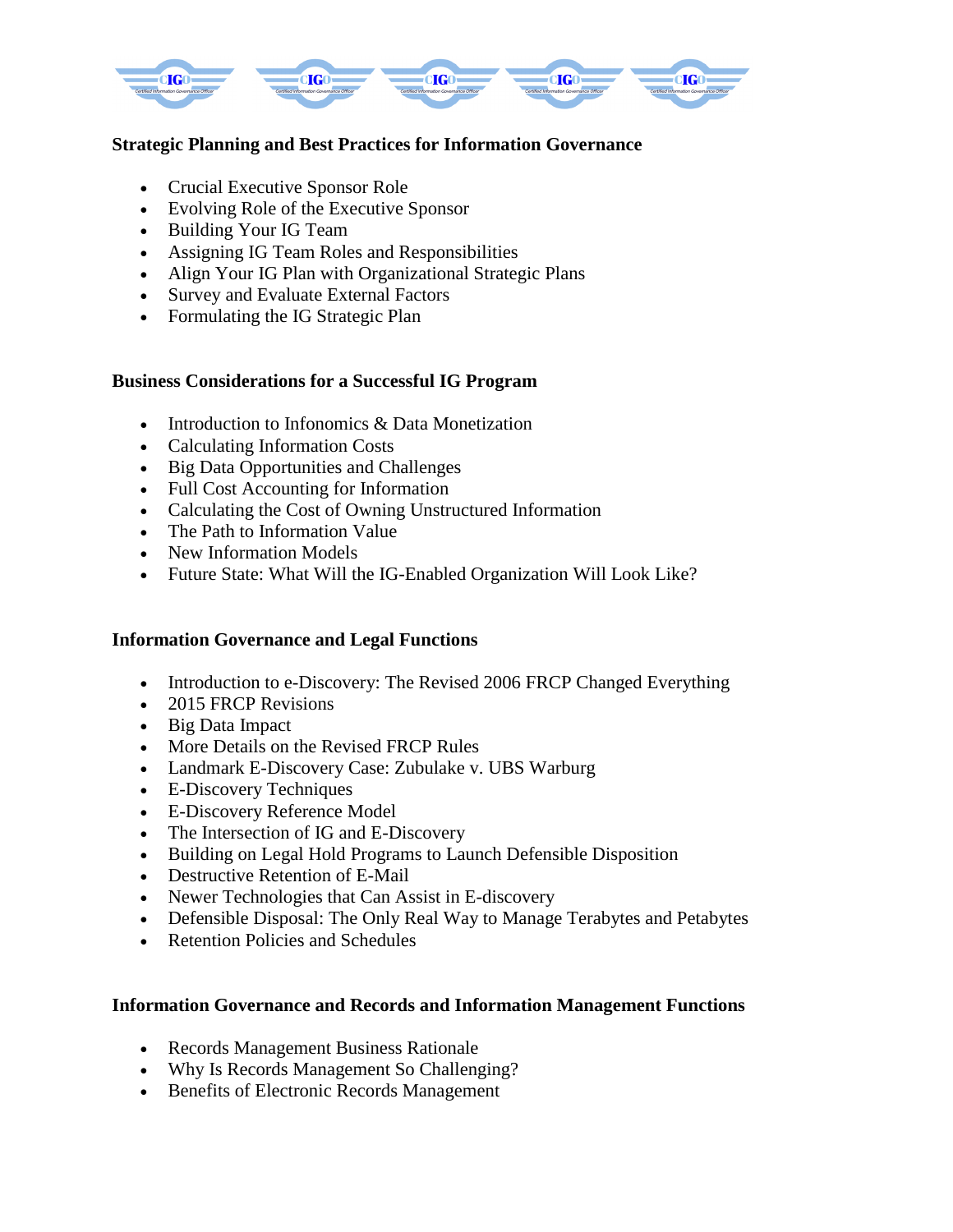

# **Strategic Planning and Best Practices for Information Governance**

- Crucial Executive Sponsor Role
- Evolving Role of the Executive Sponsor
- Building Your IG Team
- Assigning IG Team Roles and Responsibilities
- Align Your IG Plan with Organizational Strategic Plans
- Survey and Evaluate External Factors
- Formulating the IG Strategic Plan

## **Business Considerations for a Successful IG Program**

- Introduction to Infonomics & Data Monetization
- Calculating Information Costs
- Big Data Opportunities and Challenges
- Full Cost Accounting for Information
- Calculating the Cost of Owning Unstructured Information
- The Path to Information Value
- New Information Models
- Future State: What Will the IG-Enabled Organization Will Look Like?

### **Information Governance and Legal Functions**

- Introduction to e-Discovery: The Revised 2006 FRCP Changed Everything
- 2015 FRCP Revisions
- Big Data Impact
- More Details on the Revised FRCP Rules
- Landmark E-Discovery Case: Zubulake v. UBS Warburg
- E-Discovery Techniques
- E-Discovery Reference Model
- The Intersection of IG and E-Discovery
- Building on Legal Hold Programs to Launch Defensible Disposition
- Destructive Retention of E-Mail
- Newer Technologies that Can Assist in E-discovery
- Defensible Disposal: The Only Real Way to Manage Terabytes and Petabytes
- Retention Policies and Schedules

### **Information Governance and Records and Information Management Functions**

- Records Management Business Rationale
- Why Is Records Management So Challenging?
- Benefits of Electronic Records Management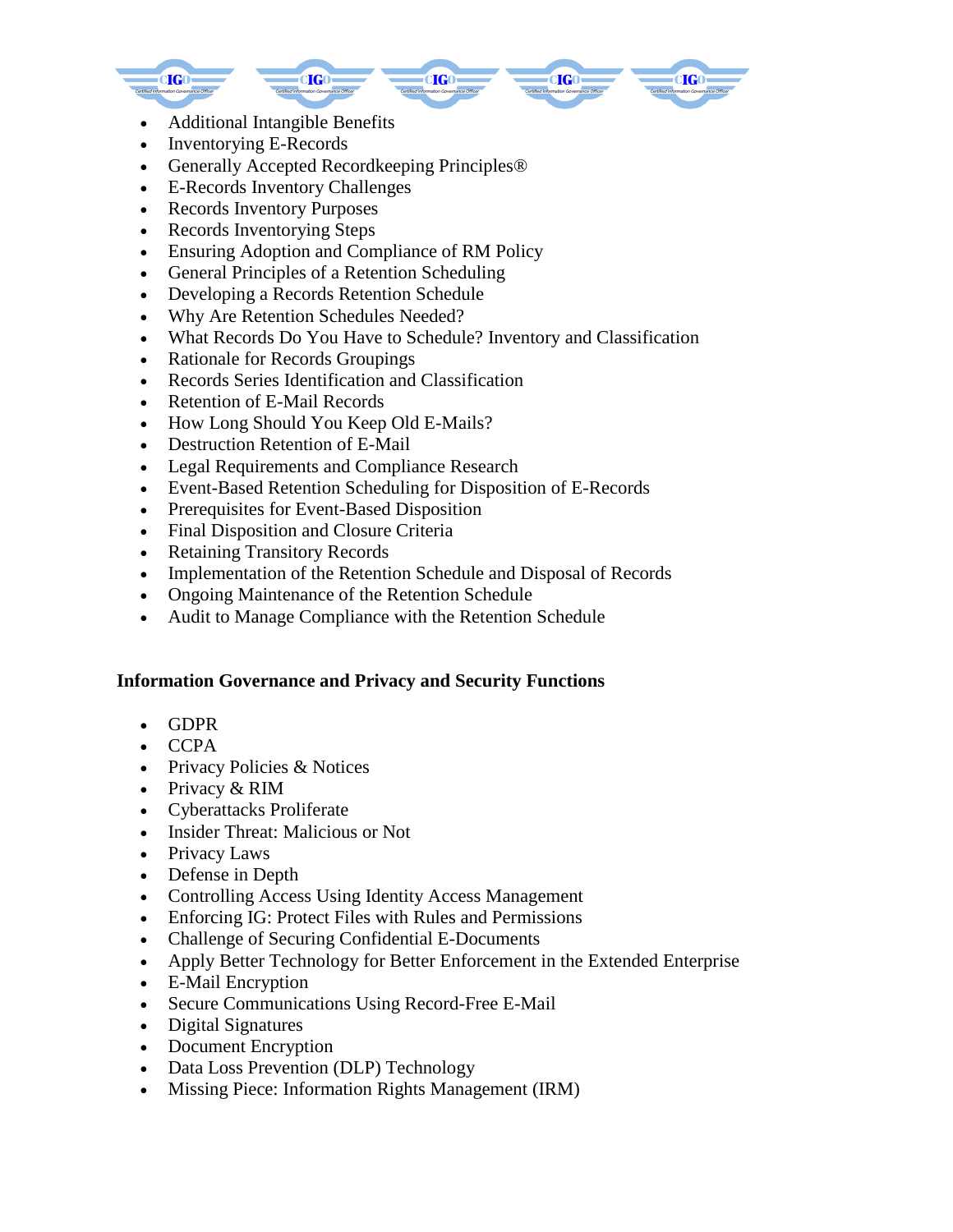

- Additional Intangible Benefits
- Inventorying E-Records
- Generally Accepted Recordkeeping Principles®
- E-Records Inventory Challenges
- Records Inventory Purposes
- Records Inventorying Steps
- Ensuring Adoption and Compliance of RM Policy
- General Principles of a Retention Scheduling
- Developing a Records Retention Schedule
- Why Are Retention Schedules Needed?
- What Records Do You Have to Schedule? Inventory and Classification
- Rationale for Records Groupings
- Records Series Identification and Classification
- Retention of E-Mail Records
- How Long Should You Keep Old E-Mails?
- Destruction Retention of E-Mail
- Legal Requirements and Compliance Research
- Event-Based Retention Scheduling for Disposition of E-Records
- Prerequisites for Event-Based Disposition
- Final Disposition and Closure Criteria
- Retaining Transitory Records
- Implementation of the Retention Schedule and Disposal of Records
- Ongoing Maintenance of the Retention Schedule
- Audit to Manage Compliance with the Retention Schedule

### **Information Governance and Privacy and Security Functions**

- GDPR
- **CCPA**
- Privacy Policies & Notices
- Privacy & RIM
- Cyberattacks Proliferate
- Insider Threat: Malicious or Not
- Privacy Laws
- Defense in Depth
- Controlling Access Using Identity Access Management
- Enforcing IG: Protect Files with Rules and Permissions
- Challenge of Securing Confidential E-Documents
- Apply Better Technology for Better Enforcement in the Extended Enterprise
- E-Mail Encryption
- Secure Communications Using Record-Free E-Mail
- Digital Signatures
- Document Encryption
- Data Loss Prevention (DLP) Technology
- Missing Piece: Information Rights Management (IRM)